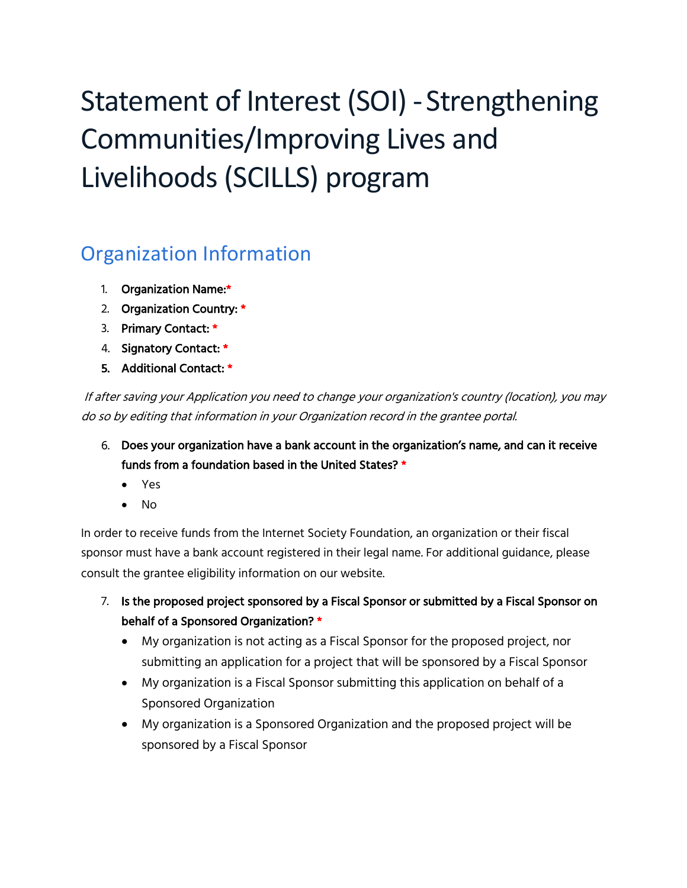# Statement of Interest (SOI) - Strengthening Communities/Improving Lives and Livelihoods (SCILLS) program

## Organization Information

- 1. Organization Name:\*
- 2. Organization Country: \*
- 3. Primary Contact: \*
- 4. Signatory Contact: \*
- 5. Additional Contact: \*

If after saving your Application you need to change your organization's country (location), you may do so by editing that information in your Organization record in the grantee portal.

- 6. Does your organization have a bank account in the organization's name, and can it receive funds from a foundation based in the United States? \*
	- Yes
	- No

In order to receive funds from the Internet Society Foundation, an organization or their fiscal sponsor must have a bank account registered in their legal name. For additional guidance, please consult the grantee eligibility information on our website.

- 7. Is the proposed project sponsored by a Fiscal Sponsor or submitted by a Fiscal Sponsor on behalf of a Sponsored Organization? \*
	- My organization is not acting as a Fiscal Sponsor for the proposed project, nor submitting an application for a project that will be sponsored by a Fiscal Sponsor
	- My organization is a Fiscal Sponsor submitting this application on behalf of a Sponsored Organization
	- My organization is a Sponsored Organization and the proposed project will be sponsored by a Fiscal Sponsor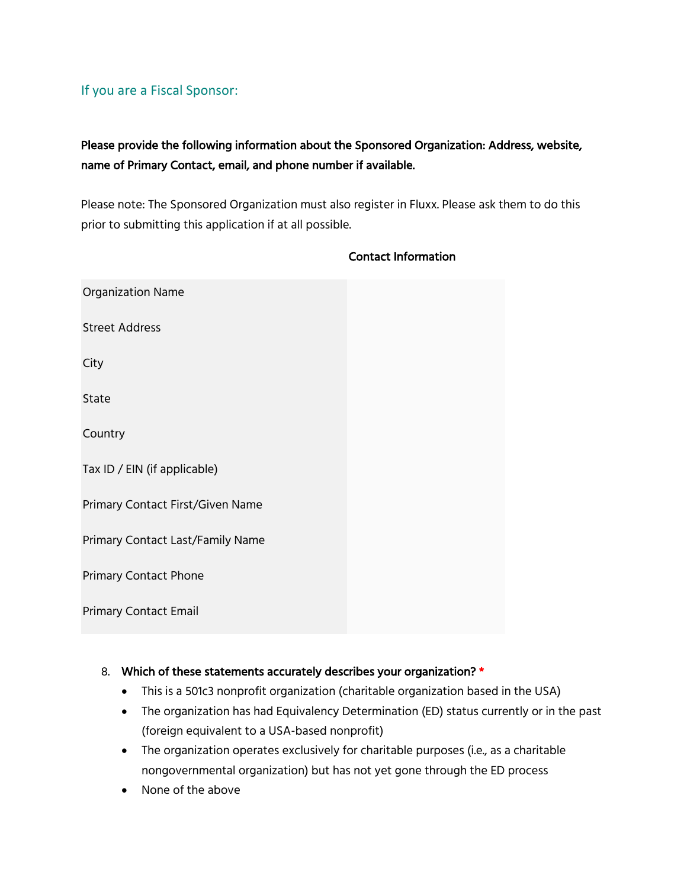#### If you are a Fiscal Sponsor:

### Please provide the following information about the Sponsored Organization: Address, website, name of Primary Contact, email, and phone number if available.

Please note: The Sponsored Organization must also register in Fluxx. Please ask them to do this prior to submitting this application if at all possible.

| <b>Organization Name</b>         |  |
|----------------------------------|--|
| <b>Street Address</b>            |  |
| City                             |  |
| State                            |  |
| Country                          |  |
| Tax ID / EIN (if applicable)     |  |
| Primary Contact First/Given Name |  |
| Primary Contact Last/Family Name |  |
| <b>Primary Contact Phone</b>     |  |
| <b>Primary Contact Email</b>     |  |

#### Contact Information

#### 8. Which of these statements accurately describes your organization? \*

- This is a 501c3 nonprofit organization (charitable organization based in the USA)
- The organization has had Equivalency Determination (ED) status currently or in the past (foreign equivalent to a USA-based nonprofit)
- The organization operates exclusively for charitable purposes (i.e., as a charitable nongovernmental organization) but has not yet gone through the ED process
- None of the above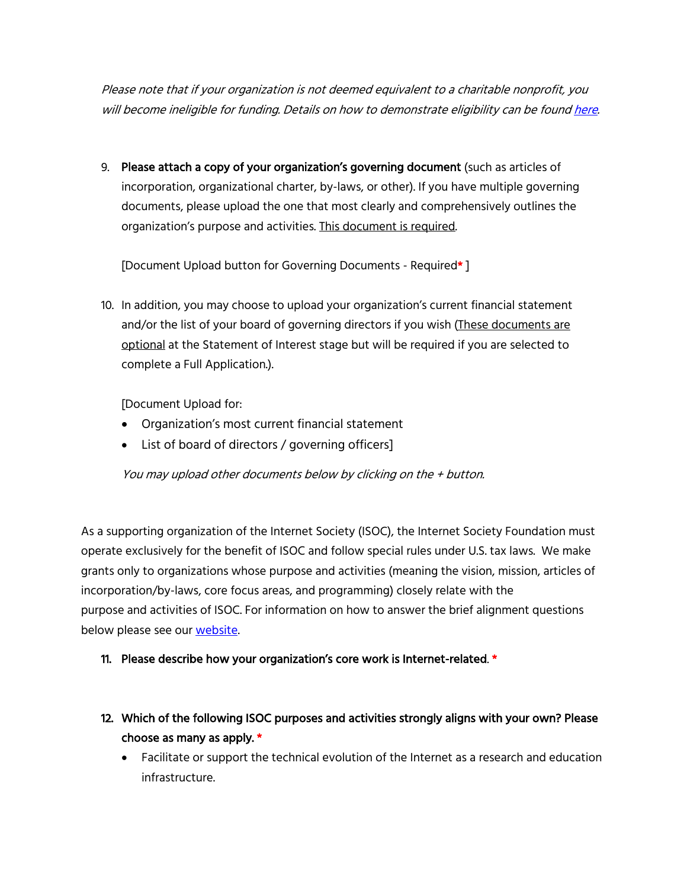Please note that if your organization is not deemed equivalent to a charitable nonprofit, you will become ineligible for funding. Details on how to demonstrate eligibility can be found here.

9. Please attach a copy of your organization's governing document (such as articles of incorporation, organizational charter, by-laws, or other). If you have multiple governing documents, please upload the one that most clearly and comprehensively outlines the organization's purpose and activities. This document is required.

[Document Upload button for Governing Documents - Required\* ]

10. In addition, you may choose to upload your organization's current financial statement and/or the list of your board of governing directors if you wish (These documents are optional at the Statement of Interest stage but will be required if you are selected to complete a Full Application.).

[Document Upload for:

- Organization's most current financial statement
- List of board of directors / governing officers]

You may upload other documents below by clicking on the + button.

As a supporting organization of the Internet Society (ISOC), the Internet Society Foundation must operate exclusively for the benefit of ISOC and follow special rules under U.S. tax laws. We make grants only to organizations whose purpose and activities (meaning the vision, mission, articles of incorporation/by-laws, core focus areas, and programming) closely relate with the purpose and activities of ISOC. For information on how to answer the brief alignment questions below please see our website.

#### 11. Please describe how your organization's core work is Internet-related. \*

- 12. Which of the following ISOC purposes and activities strongly aligns with your own? Please choose as many as apply. \*
	- Facilitate or support the technical evolution of the Internet as a research and education infrastructure.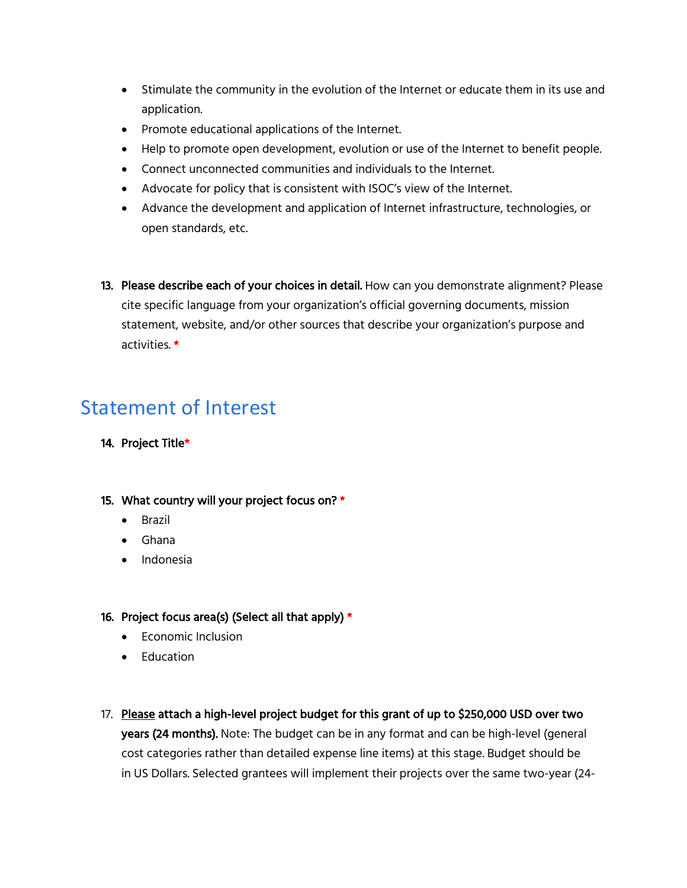- Stimulate the community in the evolution of the Internet or educate them in its use and application.
- Promote educational applications of the Internet.
- Help to promote open development, evolution or use of the Internet to benefit people.
- Connect unconnected communities and individuals to the Internet.
- Advocate for policy that is consistent with ISOC's view of the Internet.
- Advance the development and application of Internet infrastructure, technologies, or open standards, etc.
- 13. Please describe each of your choices in detail. How can you demonstrate alignment? Please cite specific language from your organization's official governing documents, mission statement, website, and/or other sources that describe your organization's purpose and activities. \*

## Statement of Interest

- 14. Project Title\*
- 15. What country will your project focus on? \*
	- Brazil
	- Ghana
	- Indonesia

#### 16. Project focus area(s) (Select all that apply)  $*$

- Economic Inclusion
- Education
- 17. Please attach a high-level project budget for this grant of up to \$250,000 USD over two years (24 months). Note: The budget can be in any format and can be high-level (general cost categories rather than detailed expense line items) at this stage. Budget should be in US Dollars. Selected grantees will implement their projects over the same two-year (24-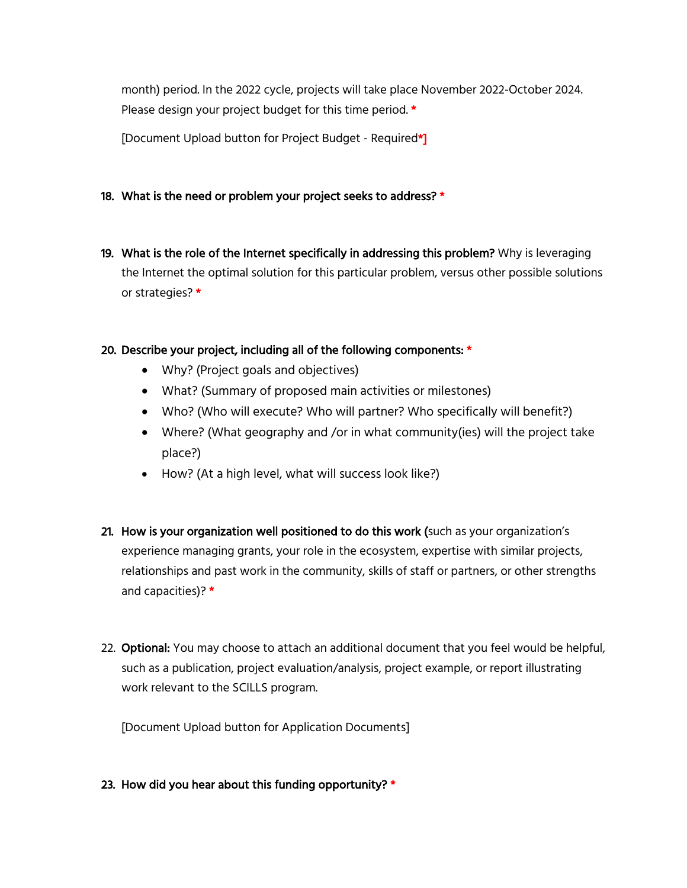month) period. In the 2022 cycle, projects will take place November 2022-October 2024. Please design your project budget for this time period. \*

[Document Upload button for Project Budget - Required\*]

- 18. What is the need or problem your project seeks to address? \*
- 19. What is the role of the Internet specifically in addressing this problem? Why is leveraging the Internet the optimal solution for this particular problem, versus other possible solutions or strategies? \*

#### 20. Describe your project, including all of the following components: \*

- Why? (Project goals and objectives)
- What? (Summary of proposed main activities or milestones)
- Who? (Who will execute? Who will partner? Who specifically will benefit?)
- Where? (What geography and /or in what community(ies) will the project take place?)
- How? (At a high level, what will success look like?)
- 21. How is your organization well positioned to do this work (such as your organization's experience managing grants, your role in the ecosystem, expertise with similar projects, relationships and past work in the community, skills of staff or partners, or other strengths and capacities)? \*
- 22. Optional: You may choose to attach an additional document that you feel would be helpful, such as a publication, project evaluation/analysis, project example, or report illustrating work relevant to the SCILLS program.

[Document Upload button for Application Documents]

23. How did you hear about this funding opportunity?  $*$